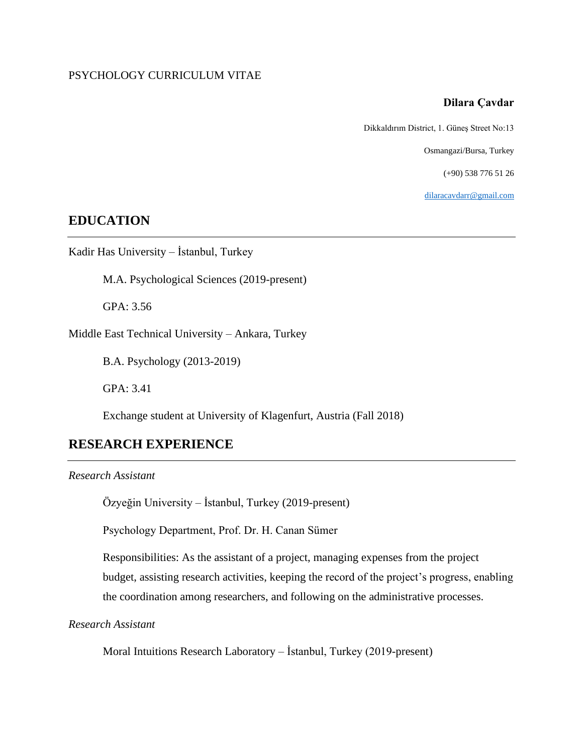#### PSYCHOLOGY CURRICULUM VITAE

#### **Dilara Çavdar**

Dikkaldırım District, 1. Güneş Street No:13

Osmangazi/Bursa, Turkey

(+90) 538 776 51 26

[dilaracavdarr@gmail.com](mailto:dilaracavdarr@gmail.com)

# **EDUCATION**

Kadir Has University – İstanbul, Turkey

M.A. Psychological Sciences (2019-present)

GPA: 3.56

Middle East Technical University – Ankara, Turkey

B.A. Psychology (2013-2019)

GPA: 3.41

Exchange student at University of Klagenfurt, Austria (Fall 2018)

## **RESEARCH EXPERIENCE**

*Research Assistant*

Özyeğin University – İstanbul, Turkey (2019-present)

Psychology Department, Prof. Dr. H. Canan Sümer

Responsibilities: As the assistant of a project, managing expenses from the project budget, assisting research activities, keeping the record of the project's progress, enabling the coordination among researchers, and following on the administrative processes.

*Research Assistant*

Moral Intuitions Research Laboratory – İstanbul, Turkey (2019-present)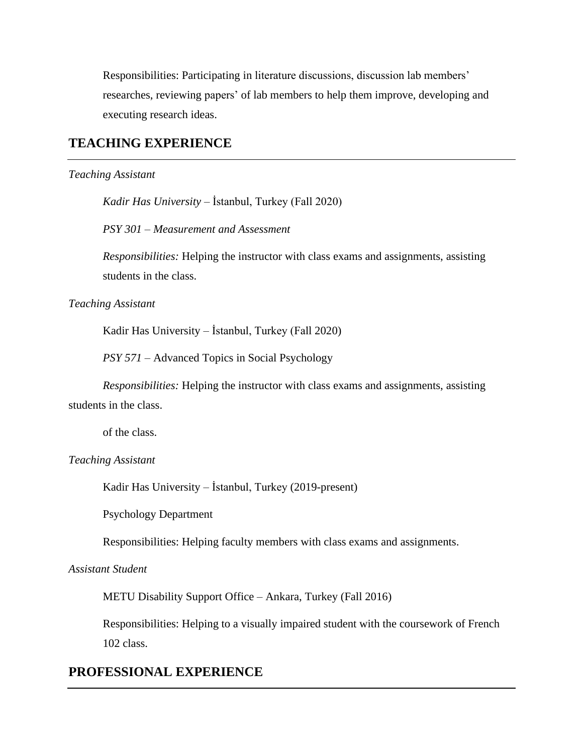Responsibilities: Participating in literature discussions, discussion lab members' researches, reviewing papers' of lab members to help them improve, developing and executing research ideas.

### **TEACHING EXPERIENCE**

#### *Teaching Assistant*

*Kadir Has University –* İstanbul, Turkey (Fall 2020)

*PSY 301 – Measurement and Assessment*

*Responsibilities:* Helping the instructor with class exams and assignments, assisting students in the class.

#### *Teaching Assistant*

Kadir Has University *–* İstanbul, Turkey (Fall 2020)

*PSY 571 –* Advanced Topics in Social Psychology

*Responsibilities:* Helping the instructor with class exams and assignments, assisting students in the class.

of the class.

#### *Teaching Assistant*

Kadir Has University – İstanbul, Turkey (2019-present)

Psychology Department

Responsibilities: Helping faculty members with class exams and assignments.

#### *Assistant Student*

METU Disability Support Office – Ankara, Turkey (Fall 2016)

Responsibilities: Helping to a visually impaired student with the coursework of French 102 class.

# **PROFESSIONAL EXPERIENCE**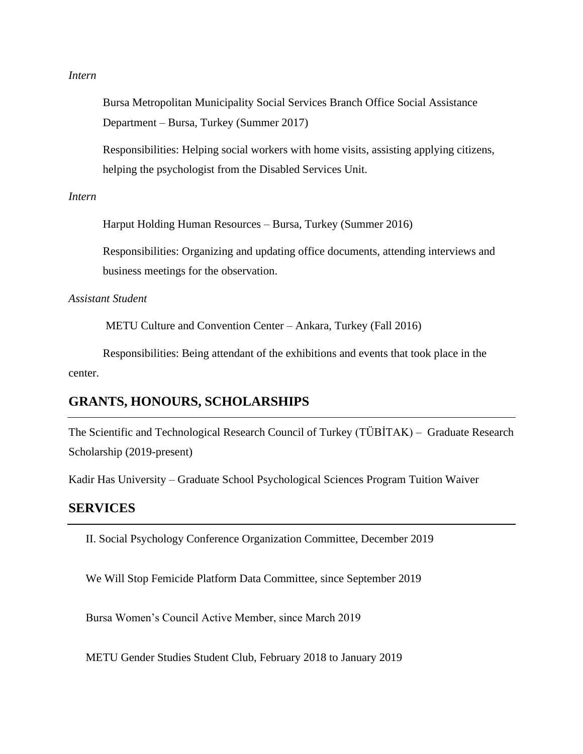#### *Intern*

Bursa Metropolitan Municipality Social Services Branch Office Social Assistance Department – Bursa, Turkey (Summer 2017)

Responsibilities: Helping social workers with home visits, assisting applying citizens, helping the psychologist from the Disabled Services Unit.

#### *Intern*

Harput Holding Human Resources *–* Bursa, Turkey (Summer 2016)

Responsibilities: Organizing and updating office documents, attending interviews and business meetings for the observation.

*Assistant Student*

METU Culture and Convention Center – Ankara, Turkey (Fall 2016)

Responsibilities: Being attendant of the exhibitions and events that took place in the center.

### **GRANTS, HONOURS, SCHOLARSHIPS**

The Scientific and Technological Research Council of Turkey (TÜBİTAK) – Graduate Research Scholarship (2019-present)

Kadir Has University – Graduate School Psychological Sciences Program Tuition Waiver

### **SERVICES**

II. Social Psychology Conference Organization Committee, December 2019

We Will Stop Femicide Platform Data Committee, since September 2019

Bursa Women's Council Active Member, since March 2019

METU Gender Studies Student Club, February 2018 to January 2019